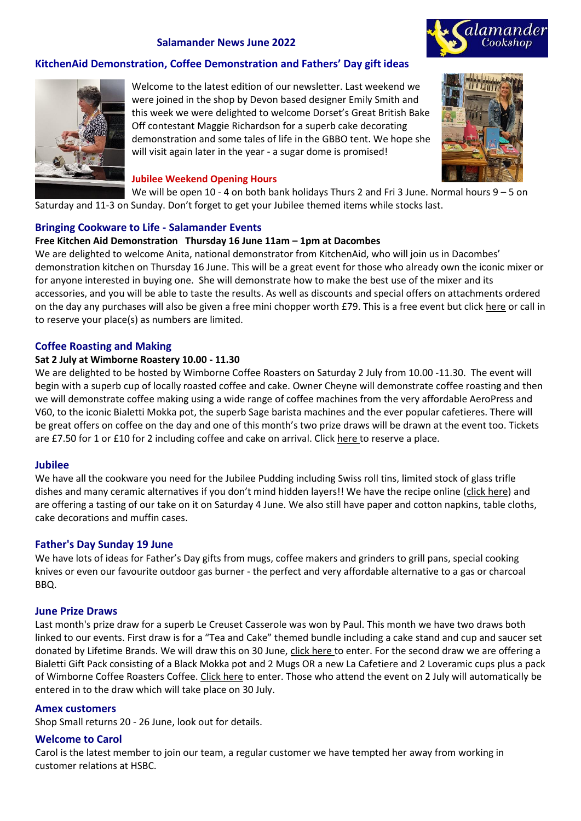## **Salamander News June 2022**



## **KitchenAid Demonstration, Coffee Demonstration and Fathers' Day gift ideas**



Welcome to the latest edition of our newsletter. Last weekend we were joined in the shop by Devon based designer Emily Smith and this week we were delighted to welcome Dorset's Great British Bake Off contestant Maggie Richardson for a superb cake decorating demonstration and some tales of life in the GBBO tent. We hope she will visit again later in the year - a sugar dome is promised!

#### **Jubilee Weekend Opening Hours**

We will be open 10 - 4 on both bank holidays Thurs 2 and Fri 3 June. Normal hours 9 – 5 on Saturday and 11-3 on Sunday. Don't forget to get your Jubilee themed items while stocks last.

## **Bringing Cookware to Life - Salamander Events**

### **Free Kitchen Aid Demonstration Thursday 16 June 11am – 1pm at Dacombes**

We are delighted to welcome Anita, national demonstrator from KitchenAid, who will join us in Dacombes' demonstration kitchen on Thursday 16 June. This will be a great event for those who already own the iconic mixer or for anyone interested in buying one. She will demonstrate how to make the best use of the mixer and its accessories, and you will be able to taste the results. As well as discounts and special offers on attachments ordered on the day any purchases will also be given a free mini chopper worth £79. This is a free event but click [here](mailto:office@salamandercookshop.com?subject=KitchenAid%20event&body=Please%20reserve%20me%20a%20place%20at%20the%20Kitchen%20Aid%20demonstration%20on%20Thursday%2016%20June%20at%20Dacombes%20of%20Wimborne.%0A) or call in to reserve your place(s) as numbers are limited.

### **Coffee Roasting and Making**

### **Sat 2 July at Wimborne Roastery 10.00 - 11.30**

We are delighted to be hosted by Wimborne Coffee Roasters on Saturday 2 July from 10.00 -11.30. The event will begin with a superb cup of locally roasted coffee and cake. Owner Cheyne will demonstrate coffee roasting and then we will demonstrate coffee making using a wide range of coffee machines from the very affordable AeroPress and V60, to the iconic Bialetti Mokka pot, the superb Sage barista machines and the ever popular cafetieres. There will be great offers on coffee on the day and one of this month's two prize draws will be drawn at the event too. Tickets are £7.50 for 1 or £10 for 2 including coffee and cake on arrival. Click [here](mailto:office@salamandercookshop.com?subject=Coffee%20Event%202%20July&body=Please%20contact%20me%20so%20that%20I%20can%20buy%20tickets%20for%20the%20Coffee%20event%20on%202%20July%20at%20Wimborne%20Roasters.%20My%20phone%20number%20is....) to reserve a place.

### **Jubilee**

We have all the cookware you need for the Jubilee Pudding including Swiss roll tins, limited stock of glass trifle dishes and many ceramic alternatives if you don't mind hidden layers!! We have the recipe online ([click here\)](https://5523a0ce-ba37-43ad-a2a6-bb367d72bb8f.usrfiles.com/ugd/5523a0_c948c3809313463ebd47dc4e6f918f5f.pdf) and are offering a tasting of our take on it on Saturday 4 June. We also still have paper and cotton napkins, table cloths, cake decorations and muffin cases.

### **Father's Day Sunday 19 June**

We have lots of ideas for Father's Day gifts from mugs, coffee makers and grinders to grill pans, special cooking knives or even our favourite outdoor gas burner - the perfect and very affordable alternative to a gas or charcoal BBQ.

### **June Prize Draws**

Last month's prize draw for a superb Le Creuset Casserole was won by Paul. This month we have two draws both linked to our events. First draw is for a "Tea and Cake" themed bundle including a cake stand and cup and saucer set donated by Lifetime Brands. We will draw this on 30 June, [click here](mailto:offic@salamandercookshop.com?subject=Tea%20Time%20bundle%20draw&body=Please%20enter%20me%20for%20the%20%22tea%20time%22%20bundle%20draw.%20I%20understand%20that%20if%20I%20win%20my%20photo%20and%20details%20may%20be%20used%20in%20Salamander%20social%20media%20and%20the%20newsletter.) to enter. For the second draw we are offering a Bialetti Gift Pack consisting of a Black Mokka pot and 2 Mugs OR a new La Cafetiere and 2 Loveramic cups plus a pack of Wimborne Coffee Roasters Coffee. [Click here](mailto:office@salamandercookshop.com?subject=Bialetti%20gift%20draw&body=Please%20enter%20me%20for%20the%20Bialetti%20gift%20draw.%20I%20understand%20that%20if%20I%20win%20my%20photo%20and%20details%20may%20be%20used%20on%20Salamander%20social%20media%20and%20in%20the%20newsletter.) to enter. Those who attend the event on 2 July will automatically be entered in to the draw which will take place on 30 July.

### **Amex customers**

Shop Small returns 20 - 26 June, look out for details.

### **Welcome to Carol**

Carol is the latest member to join our team, a regular customer we have tempted her away from working in customer relations at HSBC.